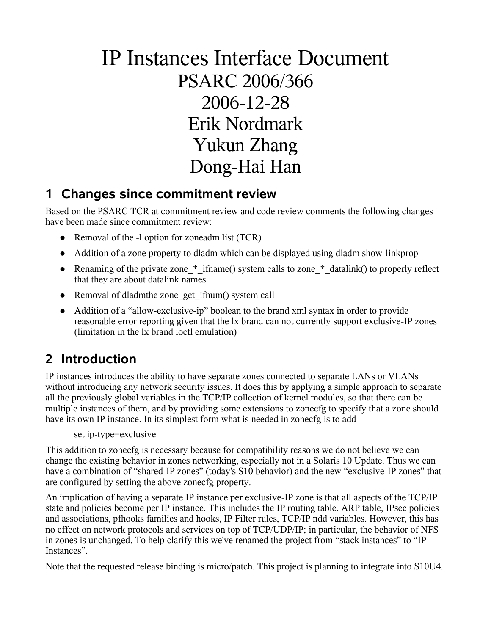# IP Instances Interface Document PSARC 2006/366 2006-12-28 Erik Nordmark Yukun Zhang Dong-Hai Han

#### **1 Changes since commitment review**

Based on the PSARC TCR at commitment review and code review comments the following changes have been made since commitment review:

- Removal of the -l option for zoneadm list (TCR)
- Addition of a zone property to dladm which can be displayed using dladm show-linkprop
- Renaming of the private zone \* ifname() system calls to zone \* datalink() to properly reflect that they are about datalink names
- Removal of dladmthe zone get ifnum() system call
- Addition of a "allow-exclusive-ip" boolean to the brand xml syntax in order to provide reasonable error reporting given that the lx brand can not currently support exclusive-IP zones (limitation in the lx brand ioctl emulation)

### **2 Introduction**

IP instances introduces the ability to have separate zones connected to separate LANs or VLANs without introducing any network security issues. It does this by applying a simple approach to separate all the previously global variables in the TCP/IP collection of kernel modules, so that there can be multiple instances of them, and by providing some extensions to zonecfg to specify that a zone should have its own IP instance. In its simplest form what is needed in zonecfg is to add

set ip-type=exclusive

This addition to zonecfg is necessary because for compatibility reasons we do not believe we can change the existing behavior in zones networking, especially not in a Solaris 10 Update. Thus we can have a combination of "shared-IP zones" (today's S10 behavior) and the new "exclusive-IP zones" that are configured by setting the above zonecfg property.

An implication of having a separate IP instance per exclusive-IP zone is that all aspects of the TCP/IP state and policies become per IP instance. This includes the IP routing table. ARP table, IPsec policies and associations, pfhooks families and hooks, IP Filter rules, TCP/IP ndd variables. However, this has no effect on network protocols and services on top of TCP/UDP/IP; in particular, the behavior of NFS in zones is unchanged. To help clarify this we've renamed the project from "stack instances" to "IP Instances".

Note that the requested release binding is micro/patch. This project is planning to integrate into S10U4.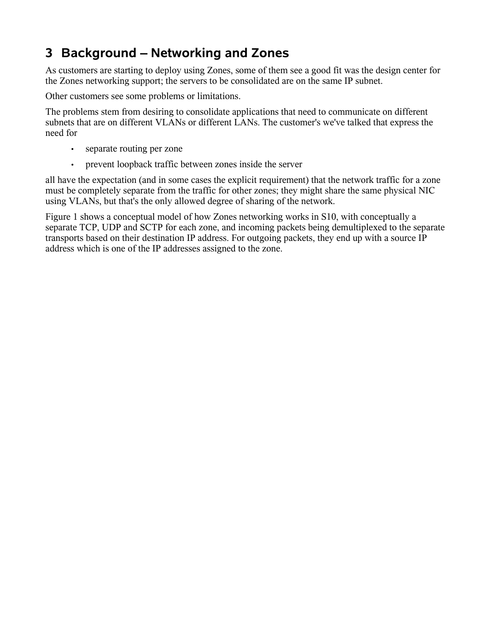### **3 Background – Networking and Zones**

As customers are starting to deploy using Zones, some of them see a good fit was the design center for the Zones networking support; the servers to be consolidated are on the same IP subnet.

Other customers see some problems or limitations.

The problems stem from desiring to consolidate applications that need to communicate on different subnets that are on different VLANs or different LANs. The customer's we've talked that express the need for

- separate routing per zone
- prevent loopback traffic between zones inside the server

all have the expectation (and in some cases the explicit requirement) that the network traffic for a zone must be completely separate from the traffic for other zones; they might share the same physical NIC using VLANs, but that's the only allowed degree of sharing of the network.

Figure 1 shows a conceptual model of how Zones networking works in S10, with conceptually a separate TCP, UDP and SCTP for each zone, and incoming packets being demultiplexed to the separate transports based on their destination IP address. For outgoing packets, they end up with a source IP address which is one of the IP addresses assigned to the zone.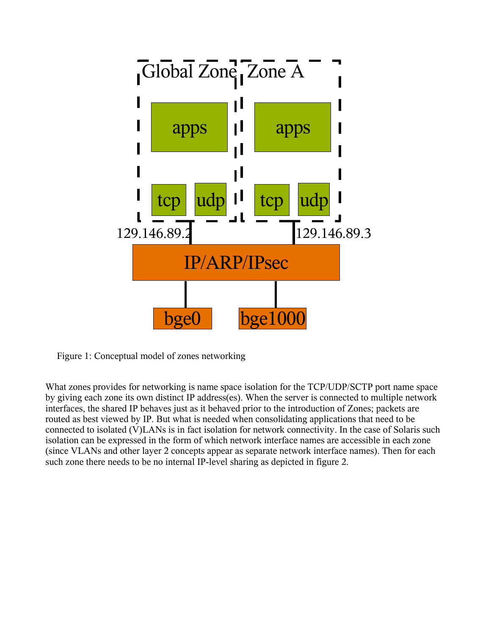

Figure 1: Conceptual model of zones networking

What zones provides for networking is name space isolation for the TCP/UDP/SCTP port name space by giving each zone its own distinct IP address(es). When the server is connected to multiple network interfaces, the shared IP behaves just as it behaved prior to the introduction of Zones; packets are routed as best viewed by IP. But what is needed when consolidating applications that need to be connected to isolated (V)LANs is in fact isolation for network connectivity. In the case of Solaris such isolation can be expressed in the form of which network interface names are accessible in each zone (since VLANs and other layer 2 concepts appear as separate network interface names). Then for each such zone there needs to be no internal IP-level sharing as depicted in figure 2.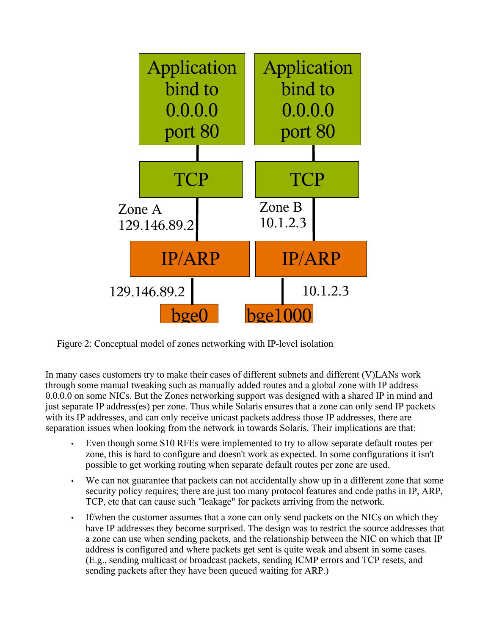

Figure 2: Conceptual model of zones networking with IP-level isolation

In many cases customers try to make their cases of different subnets and different (V)LANs work through some manual tweaking such as manually added routes and a global zone with IP address 0.0.0.0 on some NICs. But the Zones networking support was designed with a shared IP in mind and just separate IP address(es) per zone. Thus while Solaris ensures that a zone can only send IP packets with its IP addresses, and can only receive unicast packets address those IP addresses, there are separation issues when looking from the network in towards Solaris. Their implications are that:

- Even though some S10 RFEs were implemented to try to allow separate default routes per zone, this is hard to configure and doesn't work as expected. In some configurations it isn't possible to get working routing when separate default routes per zone are used.
- We can not guarantee that packets can not accidentally show up in a different zone that some security policy requires; there are just too many protocol features and code paths in IP, ARP, TCP, etc that can cause such "leakage" for packets arriving from the network.
- If/when the customer assumes that a zone can only send packets on the NICs on which they have IP addresses they become surprised. The design was to restrict the source addresses that a zone can use when sending packets, and the relationship between the NIC on which that IP address is configured and where packets get sent is quite weak and absent in some cases. (E.g., sending multicast or broadcast packets, sending ICMP errors and TCP resets, and sending packets after they have been queued waiting for ARP.)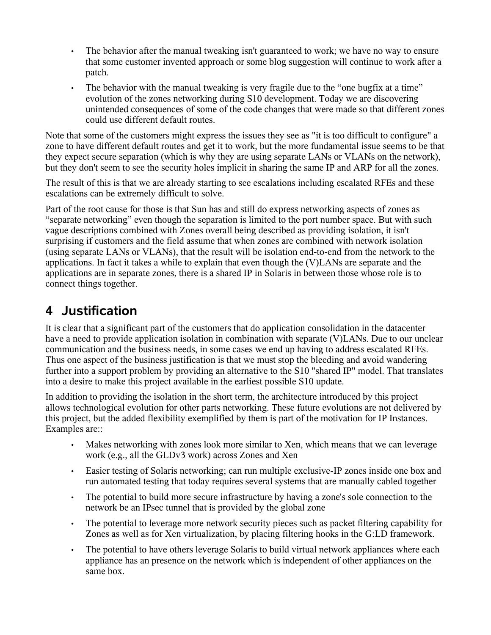- The behavior after the manual tweaking isn't guaranteed to work; we have no way to ensure that some customer invented approach or some blog suggestion will continue to work after a patch.
- The behavior with the manual tweaking is very fragile due to the "one bugfix at a time" evolution of the zones networking during S10 development. Today we are discovering unintended consequences of some of the code changes that were made so that different zones could use different default routes.

Note that some of the customers might express the issues they see as "it is too difficult to configure" a zone to have different default routes and get it to work, but the more fundamental issue seems to be that they expect secure separation (which is why they are using separate LANs or VLANs on the network), but they don't seem to see the security holes implicit in sharing the same IP and ARP for all the zones.

The result of this is that we are already starting to see escalations including escalated RFEs and these escalations can be extremely difficult to solve.

Part of the root cause for those is that Sun has and still do express networking aspects of zones as "separate networking" even though the separation is limited to the port number space. But with such vague descriptions combined with Zones overall being described as providing isolation, it isn't surprising if customers and the field assume that when zones are combined with network isolation (using separate LANs or VLANs), that the result will be isolation end-to-end from the network to the applications. In fact it takes a while to explain that even though the (V)LANs are separate and the applications are in separate zones, there is a shared IP in Solaris in between those whose role is to connect things together.

### **4 Justification**

It is clear that a significant part of the customers that do application consolidation in the datacenter have a need to provide application isolation in combination with separate (V)LANs. Due to our unclear communication and the business needs, in some cases we end up having to address escalated RFEs. Thus one aspect of the business justification is that we must stop the bleeding and avoid wandering further into a support problem by providing an alternative to the S10 "shared IP" model. That translates into a desire to make this project available in the earliest possible S10 update.

In addition to providing the isolation in the short term, the architecture introduced by this project allows technological evolution for other parts networking. These future evolutions are not delivered by this project, but the added flexibility exemplified by them is part of the motivation for IP Instances. Examples are::

- Makes networking with zones look more similar to Xen, which means that we can leverage work (e.g., all the GLDv3 work) across Zones and Xen
- Easier testing of Solaris networking; can run multiple exclusive-IP zones inside one box and run automated testing that today requires several systems that are manually cabled together
- The potential to build more secure infrastructure by having a zone's sole connection to the network be an IPsec tunnel that is provided by the global zone
- The potential to leverage more network security pieces such as packet filtering capability for Zones as well as for Xen virtualization, by placing filtering hooks in the G:LD framework.
- The potential to have others leverage Solaris to build virtual network appliances where each appliance has an presence on the network which is independent of other appliances on the same box.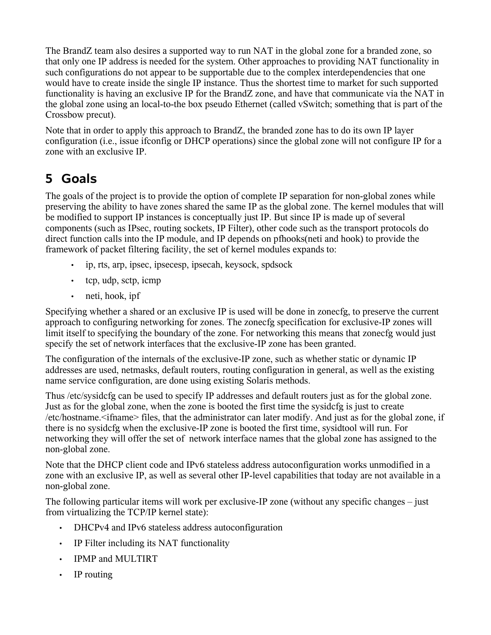The BrandZ team also desires a supported way to run NAT in the global zone for a branded zone, so that only one IP address is needed for the system. Other approaches to providing NAT functionality in such configurations do not appear to be supportable due to the complex interdependencies that one would have to create inside the single IP instance. Thus the shortest time to market for such supported functionality is having an exclusive IP for the BrandZ zone, and have that communicate via the NAT in the global zone using an local-to-the box pseudo Ethernet (called vSwitch; something that is part of the Crossbow precut).

Note that in order to apply this approach to BrandZ, the branded zone has to do its own IP layer configuration (i.e., issue ifconfig or DHCP operations) since the global zone will not configure IP for a zone with an exclusive IP.

### **5 Goals**

The goals of the project is to provide the option of complete IP separation for non-global zones while preserving the ability to have zones shared the same IP as the global zone. The kernel modules that will be modified to support IP instances is conceptually just IP. But since IP is made up of several components (such as IPsec, routing sockets, IP Filter), other code such as the transport protocols do direct function calls into the IP module, and IP depends on pfhooks(neti and hook) to provide the framework of packet filtering facility, the set of kernel modules expands to:

- ip, rts, arp, ipsec, ipsecesp, ipsecah, keysock, spdsock
- tcp, udp, sctp, icmp
- neti, hook, ipf

Specifying whether a shared or an exclusive IP is used will be done in zonecfg, to preserve the current approach to configuring networking for zones. The zonecfg specification for exclusive-IP zones will limit itself to specifying the boundary of the zone. For networking this means that zonecfg would just specify the set of network interfaces that the exclusive-IP zone has been granted.

The configuration of the internals of the exclusive-IP zone, such as whether static or dynamic IP addresses are used, netmasks, default routers, routing configuration in general, as well as the existing name service configuration, are done using existing Solaris methods.

Thus /etc/sysidcfg can be used to specify IP addresses and default routers just as for the global zone. Just as for the global zone, when the zone is booted the first time the sysidcfg is just to create /etc/hostname.<ifname> files, that the administrator can later modify. And just as for the global zone, if there is no sysidcfg when the exclusive-IP zone is booted the first time, sysidtool will run. For networking they will offer the set of network interface names that the global zone has assigned to the non-global zone.

Note that the DHCP client code and IPv6 stateless address autoconfiguration works unmodified in a zone with an exclusive IP, as well as several other IP-level capabilities that today are not available in a non-global zone.

The following particular items will work per exclusive-IP zone (without any specific changes – just from virtualizing the TCP/IP kernel state):

- DHCPv4 and IPv6 stateless address autoconfiguration
- IP Filter including its NAT functionality
- IPMP and MULTIRT
- IP routing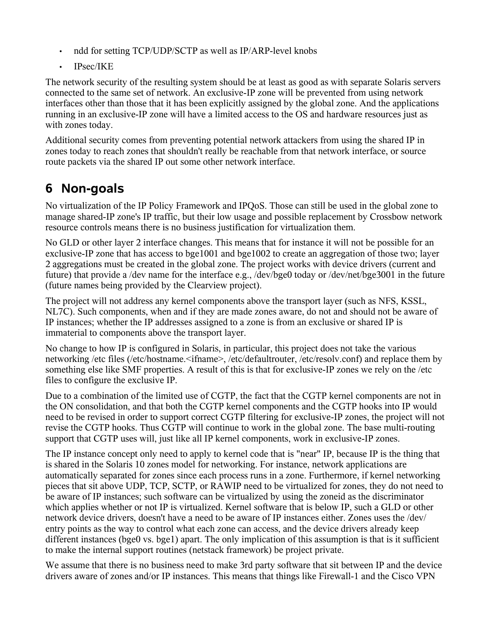- ndd for setting TCP/UDP/SCTP as well as IP/ARP-level knobs
- IPsec/IKE

The network security of the resulting system should be at least as good as with separate Solaris servers connected to the same set of network. An exclusive-IP zone will be prevented from using network interfaces other than those that it has been explicitly assigned by the global zone. And the applications running in an exclusive-IP zone will have a limited access to the OS and hardware resources just as with zones today.

Additional security comes from preventing potential network attackers from using the shared IP in zones today to reach zones that shouldn't really be reachable from that network interface, or source route packets via the shared IP out some other network interface.

#### **6 Non-goals**

No virtualization of the IP Policy Framework and IPQoS. Those can still be used in the global zone to manage shared-IP zone's IP traffic, but their low usage and possible replacement by Crossbow network resource controls means there is no business justification for virtualization them.

No GLD or other layer 2 interface changes. This means that for instance it will not be possible for an exclusive-IP zone that has access to bge1001 and bge1002 to create an aggregation of those two; layer 2 aggregations must be created in the global zone. The project works with device drivers (current and future) that provide a /dev name for the interface e.g., /dev/bge0 today or /dev/net/bge3001 in the future (future names being provided by the Clearview project).

The project will not address any kernel components above the transport layer (such as NFS, KSSL, NL7C). Such components, when and if they are made zones aware, do not and should not be aware of IP instances; whether the IP addresses assigned to a zone is from an exclusive or shared IP is immaterial to components above the transport layer.

No change to how IP is configured in Solaris, in particular, this project does not take the various networking /etc files (/etc/hostname.<ifname>, /etc/defaultrouter, /etc/resolv.conf) and replace them by something else like SMF properties. A result of this is that for exclusive-IP zones we rely on the /etc files to configure the exclusive IP.

Due to a combination of the limited use of CGTP, the fact that the CGTP kernel components are not in the ON consolidation, and that both the CGTP kernel components and the CGTP hooks into IP would need to be revised in order to support correct CGTP filtering for exclusive-IP zones, the project will not revise the CGTP hooks. Thus CGTP will continue to work in the global zone. The base multi-routing support that CGTP uses will, just like all IP kernel components, work in exclusive-IP zones.

The IP instance concept only need to apply to kernel code that is "near" IP, because IP is the thing that is shared in the Solaris 10 zones model for networking. For instance, network applications are automatically separated for zones since each process runs in a zone. Furthermore, if kernel networking pieces that sit above UDP, TCP, SCTP, or RAWIP need to be virtualized for zones, they do not need to be aware of IP instances; such software can be virtualized by using the zoneid as the discriminator which applies whether or not IP is virtualized. Kernel software that is below IP, such a GLD or other network device drivers, doesn't have a need to be aware of IP instances either. Zones uses the /dev/ entry points as the way to control what each zone can access, and the device drivers already keep different instances (bge0 vs. bge1) apart. The only implication of this assumption is that is it sufficient to make the internal support routines (netstack framework) be project private.

We assume that there is no business need to make 3rd party software that sit between IP and the device drivers aware of zones and/or IP instances. This means that things like Firewall-1 and the Cisco VPN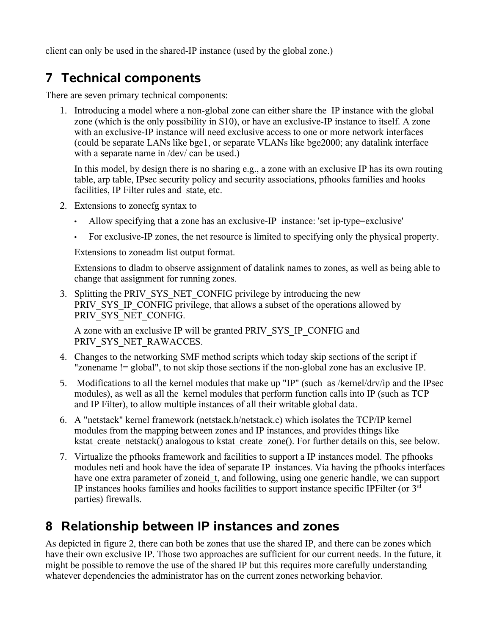client can only be used in the shared-IP instance (used by the global zone.)

### **7 Technical components**

There are seven primary technical components:

1. Introducing a model where a non-global zone can either share the IP instance with the global zone (which is the only possibility in S10), or have an exclusive-IP instance to itself. A zone with an exclusive-IP instance will need exclusive access to one or more network interfaces (could be separate LANs like bge1, or separate VLANs like bge2000; any datalink interface with a separate name in /dev/ can be used.)

In this model, by design there is no sharing e.g., a zone with an exclusive IP has its own routing table, arp table, IPsec security policy and security associations, pfhooks families and hooks facilities, IP Filter rules and state, etc.

- 2. Extensions to zonecfg syntax to
	- Allow specifying that a zone has an exclusive-IP instance: 'set ip-type=exclusive'
	- For exclusive-IP zones, the net resource is limited to specifying only the physical property.

Extensions to zoneadm list output format.

Extensions to dladm to observe assignment of datalink names to zones, as well as being able to change that assignment for running zones.

3. Splitting the PRIV\_SYS\_NET\_CONFIG privilege by introducing the new PRIV SYS IP CONFIG privilege, that allows a subset of the operations allowed by PRIV\_SYS\_NET\_CONFIG.

A zone with an exclusive IP will be granted PRIV\_SYS\_IP\_CONFIG and PRIV SYS NET RAWACCES.

- 4. Changes to the networking SMF method scripts which today skip sections of the script if "zonename != global", to not skip those sections if the non-global zone has an exclusive IP.
- 5. Modifications to all the kernel modules that make up "IP" (such as /kernel/drv/ip and the IPsec modules), as well as all the kernel modules that perform function calls into IP (such as TCP and IP Filter), to allow multiple instances of all their writable global data.
- 6. A "netstack" kernel framework (netstack.h/netstack.c) which isolates the TCP/IP kernel modules from the mapping between zones and IP instances, and provides things like kstat\_create\_netstack() analogous to kstat\_create\_zone(). For further details on this, see below.
- 7. Virtualize the pfhooks framework and facilities to support a IP instances model. The pfhooks modules neti and hook have the idea of separate IP instances. Via having the pfhooks interfaces have one extra parameter of zoneid t, and following, using one generic handle, we can support IP instances hooks families and hooks facilities to support instance specific IPFilter (or 3rd parties) firewalls.

#### **8 Relationship between IP instances and zones**

As depicted in figure 2, there can both be zones that use the shared IP, and there can be zones which have their own exclusive IP. Those two approaches are sufficient for our current needs. In the future, it might be possible to remove the use of the shared IP but this requires more carefully understanding whatever dependencies the administrator has on the current zones networking behavior.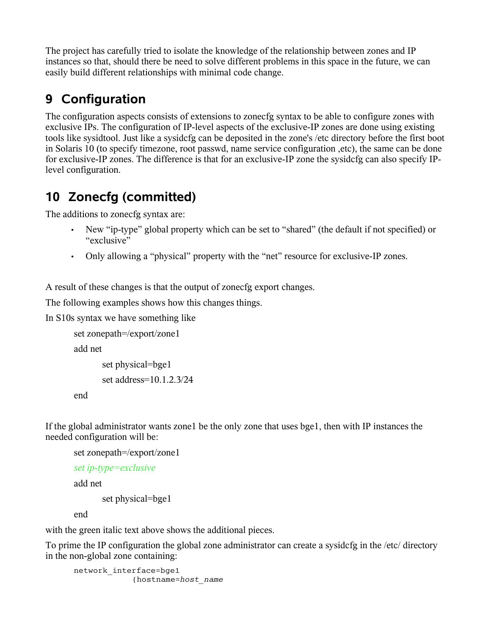The project has carefully tried to isolate the knowledge of the relationship between zones and IP instances so that, should there be need to solve different problems in this space in the future, we can easily build different relationships with minimal code change.

## **9 Configuration**

The configuration aspects consists of extensions to zonecfg syntax to be able to configure zones with exclusive IPs. The configuration of IP-level aspects of the exclusive-IP zones are done using existing tools like sysidtool. Just like a sysidcfg can be deposited in the zone's /etc directory before the first boot in Solaris 10 (to specify timezone, root passwd, name service configuration ,etc), the same can be done for exclusive-IP zones. The difference is that for an exclusive-IP zone the sysidcfg can also specify IPlevel configuration.

# **10 Zonecfg (committed)**

The additions to zonecfg syntax are:

- New "ip-type" global property which can be set to "shared" (the default if not specified) or "exclusive"
- Only allowing a "physical" property with the "net" resource for exclusive-IP zones.

A result of these changes is that the output of zonecfg export changes.

The following examples shows how this changes things.

In S10s syntax we have something like

set zonepath=/export/zone1

add net

```
set physical=bge1
set address=10.1.2.3/24
```
end

If the global administrator wants zone1 be the only zone that uses bge1, then with IP instances the needed configuration will be:

```
set zonepath=/export/zone1
```

```
set ip-type=exclusive
```
add net

set physical=bge1

end

with the green italic text above shows the additional pieces.

To prime the IP configuration the global zone administrator can create a sysidcfg in the /etc/ directory in the non-global zone containing:

```
network_interface=bge1
             {hostname=host_name
```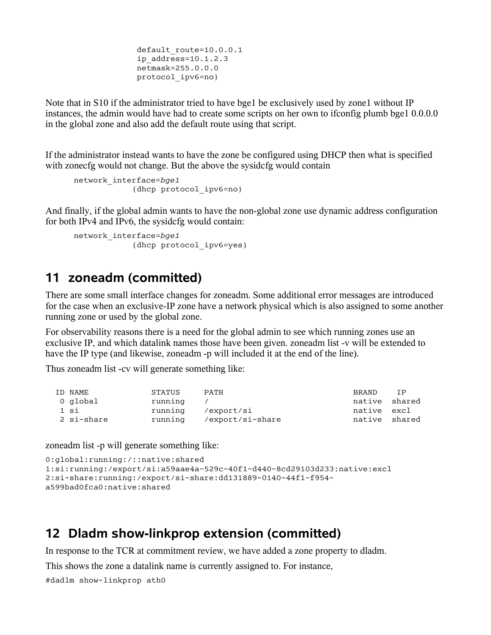```
default route=10.0.0.1
ip address=10.1.2.3 netmask=255.0.0.0
 protocol_ipv6=no}
```
Note that in S10 if the administrator tried to have bge1 be exclusively used by zone1 without IP instances, the admin would have had to create some scripts on her own to ifconfig plumb bge1 0.0.0.0 in the global zone and also add the default route using that script.

If the administrator instead wants to have the zone be configured using DHCP then what is specified with zonecfg would not change. But the above the sysidcfg would contain

```
network_interface=bge1
             {dhcp protocol_ipv6=no}
```
And finally, if the global admin wants to have the non-global zone use dynamic address configuration for both IPv4 and IPv6, the sysidcfg would contain:

```
network_interface=bge1
             {dhcp protocol_ipv6=yes}
```
#### **11 zoneadm (committed)**

There are some small interface changes for zoneadm. Some additional error messages are introduced for the case when an exclusive-IP zone have a network physical which is also assigned to some another running zone or used by the global zone.

For observability reasons there is a need for the global admin to see which running zones use an exclusive IP, and which datalink names those have been given. zoneadm list -v will be extended to have the IP type (and likewise, zoneadm -p will included it at the end of the line).

Thus zoneadm list -cv will generate something like:

| ID NAME    | <b>STATUS</b> | <b>PATH</b>      | <b>BRAND</b>  | TP |
|------------|---------------|------------------|---------------|----|
| 0 global   | running       |                  | native shared |    |
| 1 si       | running       | /export/si       | native excl   |    |
| 2 si-share | running       | /export/si-share | native shared |    |

zoneadm list -p will generate something like:

```
0:global:running:/::native:shared
1:si:running:/export/si:a59aae4a-529c-40f1-d440-8cd29103d233:native:excl
2:si-share:running:/export/si-share:dd131889-0140-44f1-f954-
a599bad0fca0:native:shared
```
#### **12 Dladm show-linkprop extension (committed)**

In response to the TCR at commitment review, we have added a zone property to dladm.

This shows the zone a datalink name is currently assigned to. For instance,

```
#dadlm show-linkprop ath0
```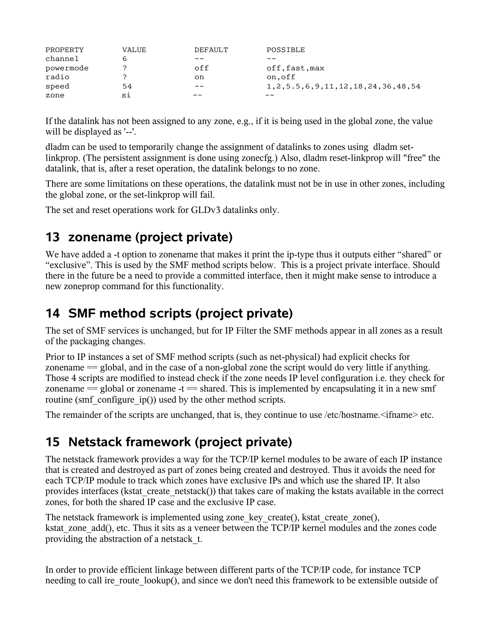| PROPERTY  | <b>VALUE</b> | DEFAULT | POSSIBLE                                     |
|-----------|--------------|---------|----------------------------------------------|
| channel   |              |         |                                              |
| powermode |              | off     | off,fast,max                                 |
| radio     |              | on      | on.off                                       |
| speed     | 54           | --      | 1, 2, 5, 5, 6, 9, 11, 12, 18, 24, 36, 48, 54 |
| zone      | si           |         |                                              |

If the datalink has not been assigned to any zone, e.g., if it is being used in the global zone, the value will be displayed as '--'.

dladm can be used to temporarily change the assignment of datalinks to zones using dladm setlinkprop. (The persistent assignment is done using zonecfg.) Also, dladm reset-linkprop will "free" the datalink, that is, after a reset operation, the datalink belongs to no zone.

There are some limitations on these operations, the datalink must not be in use in other zones, including the global zone, or the set-linkprop will fail.

The set and reset operations work for GLDv3 datalinks only.

#### **13 zonename (project private)**

We have added a -t option to zonename that makes it print the ip-type thus it outputs either "shared" or "exclusive". This is used by the SMF method scripts below. This is a project private interface. Should there in the future be a need to provide a committed interface, then it might make sense to introduce a new zoneprop command for this functionality.

#### **14 SMF method scripts (project private)**

The set of SMF services is unchanged, but for IP Filter the SMF methods appear in all zones as a result of the packaging changes.

Prior to IP instances a set of SMF method scripts (such as net-physical) had explicit checks for zonename == global, and in the case of a non-global zone the script would do very little if anything. Those 4 scripts are modified to instead check if the zone needs IP level configuration i.e. they check for zonename  $=$  global or zonename  $-t$   $=$  shared. This is implemented by encapsulating it in a new smf routine (smf\_configure\_ip()) used by the other method scripts.

The remainder of the scripts are unchanged, that is, they continue to use /etc/hostname.<ifname> etc.

#### **15 Netstack framework (project private)**

The netstack framework provides a way for the TCP/IP kernel modules to be aware of each IP instance that is created and destroyed as part of zones being created and destroyed. Thus it avoids the need for each TCP/IP module to track which zones have exclusive IPs and which use the shared IP. It also provides interfaces (kstat\_create\_netstack()) that takes care of making the kstats available in the correct zones, for both the shared IP case and the exclusive IP case.

The netstack framework is implemented using zone key create(), kstat create zone(), kstat zone add(), etc. Thus it sits as a veneer between the TCP/IP kernel modules and the zones code providing the abstraction of a netstack\_t.

In order to provide efficient linkage between different parts of the TCP/IP code, for instance TCP needing to call ire route lookup(), and since we don't need this framework to be extensible outside of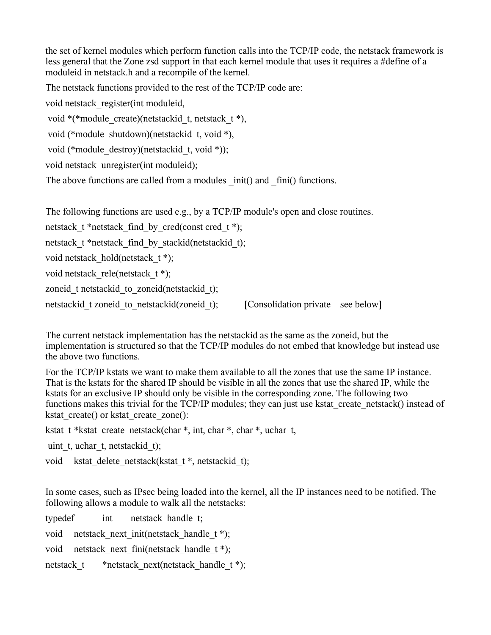the set of kernel modules which perform function calls into the TCP/IP code, the netstack framework is less general that the Zone zsd support in that each kernel module that uses it requires a #define of a moduleid in netstack.h and a recompile of the kernel.

The netstack functions provided to the rest of the TCP/IP code are:

void netstack\_register(int moduleid,

void \*(\*module\_create)(netstackid\_t, netstack\_t \*),

void (\*module\_shutdown)(netstackid\_t, void \*),

```
 void (*module_destroy)(netstackid_t, void *));
```
void netstack\_unregister(int moduleid);

The above functions are called from a modules  $\int$ init() and  $\int$ finit() functions.

The following functions are used e.g., by a TCP/IP module's open and close routines.

netstack  $t^*$ netstack find by cred(const cred  $t^*$ );

netstack t \*netstack find by stackid(netstackid t);

void netstack hold(netstack t \*);

void netstack rele(netstack t \*);

zoneid t netstackid to zoneid(netstackid t);

netstackid t zoneid to netstackid(zoneid t); [Consolidation private – see below]

The current netstack implementation has the netstackid as the same as the zoneid, but the implementation is structured so that the TCP/IP modules do not embed that knowledge but instead use the above two functions.

For the TCP/IP kstats we want to make them available to all the zones that use the same IP instance. That is the kstats for the shared IP should be visible in all the zones that use the shared IP, while the kstats for an exclusive IP should only be visible in the corresponding zone. The following two functions makes this trivial for the TCP/IP modules; they can just use kstat\_create\_netstack() instead of kstat create() or kstat create zone():

kstat t \*kstat create netstack(char \*, int, char \*, char \*, uchar t,

uint t, uchar t, netstackid t);

void kstat delete netstack(kstat t \*, netstackid t);

In some cases, such as IPsec being loaded into the kernel, all the IP instances need to be notified. The following allows a module to walk all the netstacks:

| typedef    | int netstack handle t;                        |
|------------|-----------------------------------------------|
|            | void netstack next init(netstack handle t *); |
|            | void netstack next fini(netstack handle t *); |
| netstack t | *netstack next(netstack handle t *);          |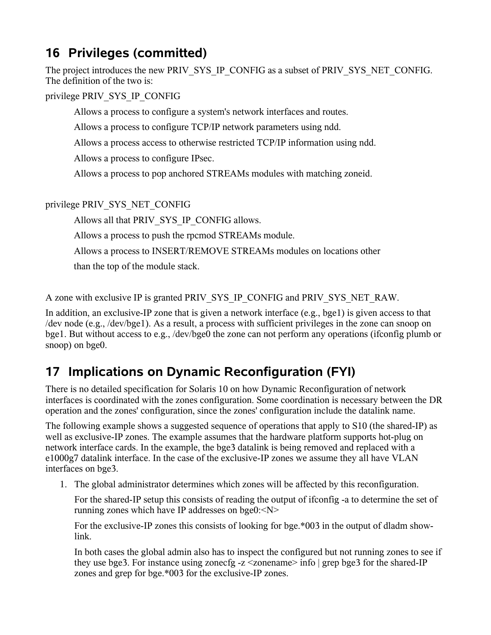### **16 Privileges (committed)**

The project introduces the new PRIV\_SYS\_IP\_CONFIG as a subset of PRIV\_SYS\_NET\_CONFIG. The definition of the two is:

privilege PRIV\_SYS\_IP\_CONFIG

Allows a process to configure a system's network interfaces and routes.

Allows a process to configure TCP/IP network parameters using ndd.

Allows a process access to otherwise restricted TCP/IP information using ndd.

Allows a process to configure IPsec.

Allows a process to pop anchored STREAMs modules with matching zoneid.

privilege PRIV\_SYS\_NET\_CONFIG

Allows all that PRIV\_SYS\_IP\_CONFIG allows.

Allows a process to push the rpcmod STREAMs module.

Allows a process to INSERT/REMOVE STREAMs modules on locations other

than the top of the module stack.

A zone with exclusive IP is granted PRIV\_SYS\_IP\_CONFIG and PRIV\_SYS\_NET\_RAW.

In addition, an exclusive-IP zone that is given a network interface (e.g., bge1) is given access to that /dev node (e.g., /dev/bge1). As a result, a process with sufficient privileges in the zone can snoop on bge1. But without access to e.g., /dev/bge0 the zone can not perform any operations (ifconfig plumb or snoop) on bge0.

#### **17 Implications on Dynamic Reconfiguration (FYI)**

There is no detailed specification for Solaris 10 on how Dynamic Reconfiguration of network interfaces is coordinated with the zones configuration. Some coordination is necessary between the DR operation and the zones' configuration, since the zones' configuration include the datalink name.

The following example shows a suggested sequence of operations that apply to S10 (the shared-IP) as well as exclusive-IP zones. The example assumes that the hardware platform supports hot-plug on network interface cards. In the example, the bge3 datalink is being removed and replaced with a e1000g7 datalink interface. In the case of the exclusive-IP zones we assume they all have VLAN interfaces on bge3.

1. The global administrator determines which zones will be affected by this reconfiguration.

For the shared-IP setup this consists of reading the output of ifconfig -a to determine the set of running zones which have IP addresses on bge0:<N>

For the exclusive-IP zones this consists of looking for bge.\*003 in the output of dladm showlink.

In both cases the global admin also has to inspect the configured but not running zones to see if they use bge3. For instance using zonecfg -z  $\leq$ zonename> info | grep bge3 for the shared-IP zones and grep for bge.\*003 for the exclusive-IP zones.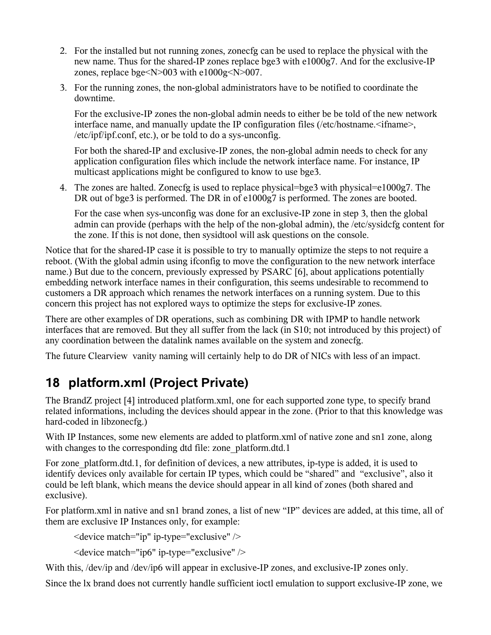- 2. For the installed but not running zones, zonecfg can be used to replace the physical with the new name. Thus for the shared-IP zones replace bge3 with e1000g7. And for the exclusive-IP zones, replace bge<N>003 with e1000g<N>007.
- 3. For the running zones, the non-global administrators have to be notified to coordinate the downtime.

For the exclusive-IP zones the non-global admin needs to either be be told of the new network interface name, and manually update the IP configuration files (/etc/hostname. if  $name$ ), /etc/ipf/ipf.conf, etc.), or be told to do a sys-unconfig.

For both the shared-IP and exclusive-IP zones, the non-global admin needs to check for any application configuration files which include the network interface name. For instance, IP multicast applications might be configured to know to use bge3.

4. The zones are halted. Zonecfg is used to replace physical=bge3 with physical=e1000g7. The DR out of bge3 is performed. The DR in of e1000g7 is performed. The zones are booted.

For the case when sys-unconfig was done for an exclusive-IP zone in step 3, then the global admin can provide (perhaps with the help of the non-global admin), the /etc/sysidcfg content for the zone. If this is not done, then sysidtool will ask questions on the console.

Notice that for the shared-IP case it is possible to try to manually optimize the steps to not require a reboot. (With the global admin using ifconfig to move the configuration to the new network interface name.) But due to the concern, previously expressed by PSARC [6], about applications potentially embedding network interface names in their configuration, this seems undesirable to recommend to customers a DR approach which renames the network interfaces on a running system. Due to this concern this project has not explored ways to optimize the steps for exclusive-IP zones.

There are other examples of DR operations, such as combining DR with IPMP to handle network interfaces that are removed. But they all suffer from the lack (in S10; not introduced by this project) of any coordination between the datalink names available on the system and zonecfg.

The future Clearview vanity naming will certainly help to do DR of NICs with less of an impact.

## **18 platform.xml (Project Private)**

The BrandZ project [4] introduced platform.xml, one for each supported zone type, to specify brand related informations, including the devices should appear in the zone. (Prior to that this knowledge was hard-coded in libzonecfg.)

With IP Instances, some new elements are added to platform.xml of native zone and sn1 zone, along with changes to the corresponding dtd file: zone platform.dtd.1

For zone platform.dtd.1, for definition of devices, a new attributes, ip-type is added, it is used to identify devices only available for certain IP types, which could be "shared" and "exclusive", also it could be left blank, which means the device should appear in all kind of zones (both shared and exclusive).

For platform.xml in native and sn1 brand zones, a list of new "IP" devices are added, at this time, all of them are exclusive IP Instances only, for example:

<device match="ip" ip-type="exclusive" />

<device match="ip6" ip-type="exclusive" />

With this, /dev/ip and /dev/ip6 will appear in exclusive-IP zones, and exclusive-IP zones only.

Since the lx brand does not currently handle sufficient ioctl emulation to support exclusive-IP zone, we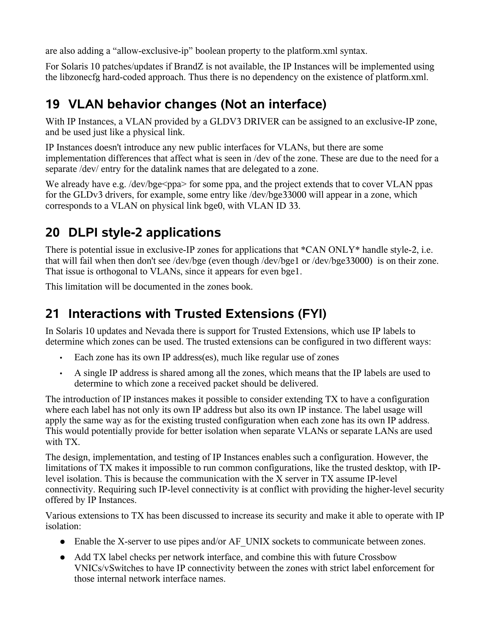are also adding a "allow-exclusive-ip" boolean property to the platform.xml syntax.

For Solaris 10 patches/updates if BrandZ is not available, the IP Instances will be implemented using the libzonecfg hard-coded approach. Thus there is no dependency on the existence of platform.xml.

### **19 VLAN behavior changes (Not an interface)**

With IP Instances, a VLAN provided by a GLDV3 DRIVER can be assigned to an exclusive-IP zone, and be used just like a physical link.

IP Instances doesn't introduce any new public interfaces for VLANs, but there are some implementation differences that affect what is seen in /dev of the zone. These are due to the need for a separate /dev/ entry for the datalink names that are delegated to a zone.

We already have e.g. /dev/bge<ppa> for some ppa, and the project extends that to cover VLAN ppas for the GLDv3 drivers, for example, some entry like /dev/bge33000 will appear in a zone, which corresponds to a VLAN on physical link bge0, with VLAN ID 33.

### **20 DLPI style-2 applications**

There is potential issue in exclusive-IP zones for applications that \*CAN ONLY\* handle style-2, i.e. that will fail when then don't see /dev/bge (even though /dev/bge1 or /dev/bge33000) is on their zone. That issue is orthogonal to VLANs, since it appears for even bge1.

This limitation will be documented in the zones book.

### **21 Interactions with Trusted Extensions (FYI)**

In Solaris 10 updates and Nevada there is support for Trusted Extensions, which use IP labels to determine which zones can be used. The trusted extensions can be configured in two different ways:

- Each zone has its own IP address(es), much like regular use of zones
- A single IP address is shared among all the zones, which means that the IP labels are used to determine to which zone a received packet should be delivered.

The introduction of IP instances makes it possible to consider extending TX to have a configuration where each label has not only its own IP address but also its own IP instance. The label usage will apply the same way as for the existing trusted configuration when each zone has its own IP address. This would potentially provide for better isolation when separate VLANs or separate LANs are used with TX.

The design, implementation, and testing of IP Instances enables such a configuration. However, the limitations of TX makes it impossible to run common configurations, like the trusted desktop, with IPlevel isolation. This is because the communication with the X server in TX assume IP-level connectivity. Requiring such IP-level connectivity is at conflict with providing the higher-level security offered by IP Instances.

Various extensions to TX has been discussed to increase its security and make it able to operate with IP isolation:

- Enable the X-server to use pipes and/or AF\_UNIX sockets to communicate between zones.
- Add TX label checks per network interface, and combine this with future Crossbow VNICs/vSwitches to have IP connectivity between the zones with strict label enforcement for those internal network interface names.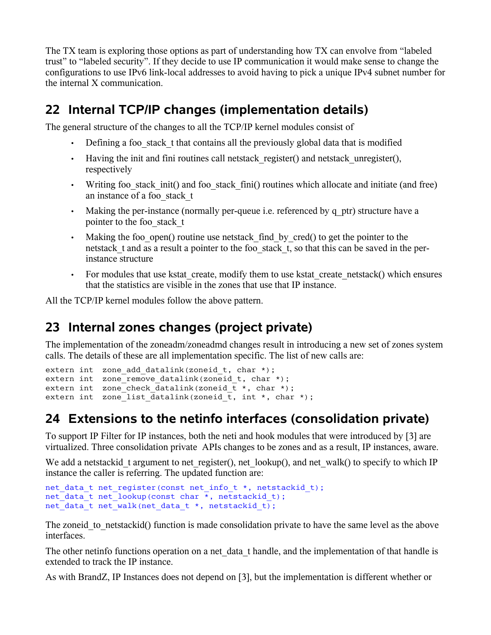The TX team is exploring those options as part of understanding how TX can envolve from "labeled trust" to "labeled security". If they decide to use IP communication it would make sense to change the configurations to use IPv6 link-local addresses to avoid having to pick a unique IPv4 subnet number for the internal X communication.

### **22 Internal TCP/IP changes (implementation details)**

The general structure of the changes to all the TCP/IP kernel modules consist of

- Defining a foo\_stack\_t that contains all the previously global data that is modified
- Having the init and fini routines call netstack register() and netstack unregister(), respectively
- Writing foo stack init() and foo stack fini() routines which allocate and initiate (and free) an instance of a foo\_stack\_t
- Making the per-instance (normally per-queue i.e. referenced by q ptr) structure have a pointer to the foo\_stack\_t
- Making the foo open() routine use netstack find by cred() to get the pointer to the netstack t and as a result a pointer to the foo stack t, so that this can be saved in the perinstance structure
- For modules that use kstat create, modify them to use kstat create netstack() which ensures that the statistics are visible in the zones that use that IP instance.

All the TCP/IP kernel modules follow the above pattern.

### **23 Internal zones changes (project private)**

The implementation of the zoneadm/zoneadmd changes result in introducing a new set of zones system calls. The details of these are all implementation specific. The list of new calls are:

```
extern int zone add datalink(zoneid t, char *);
extern int zone remove datalink(zoneid t, char *);
extern int zone check datalink(zoneid \overline{t} *, char *);
extern int zone list datalink(zoneid \overline{t}, int *, char *);
```
# **24 Extensions to the netinfo interfaces (consolidation private)**

To support IP Filter for IP instances, both the neti and hook modules that were introduced by [3] are virtualized. Three consolidation private APIs changes to be zones and as a result, IP instances, aware.

We add a netstackid t argument to net register(), net lookup(), and net walk() to specify to which IP instance the caller is referring. The updated function are:

```
net data t net register(const net info t *, netstackid t);
net data t net lookup(const char \overline{\star}, netstackid t);
net data t net walk(net data t *, netstackid t);
```
The zoneid to netstackid() function is made consolidation private to have the same level as the above interfaces.

The other netinfo functions operation on a net data t handle, and the implementation of that handle is extended to track the IP instance.

As with BrandZ, IP Instances does not depend on [3], but the implementation is different whether or